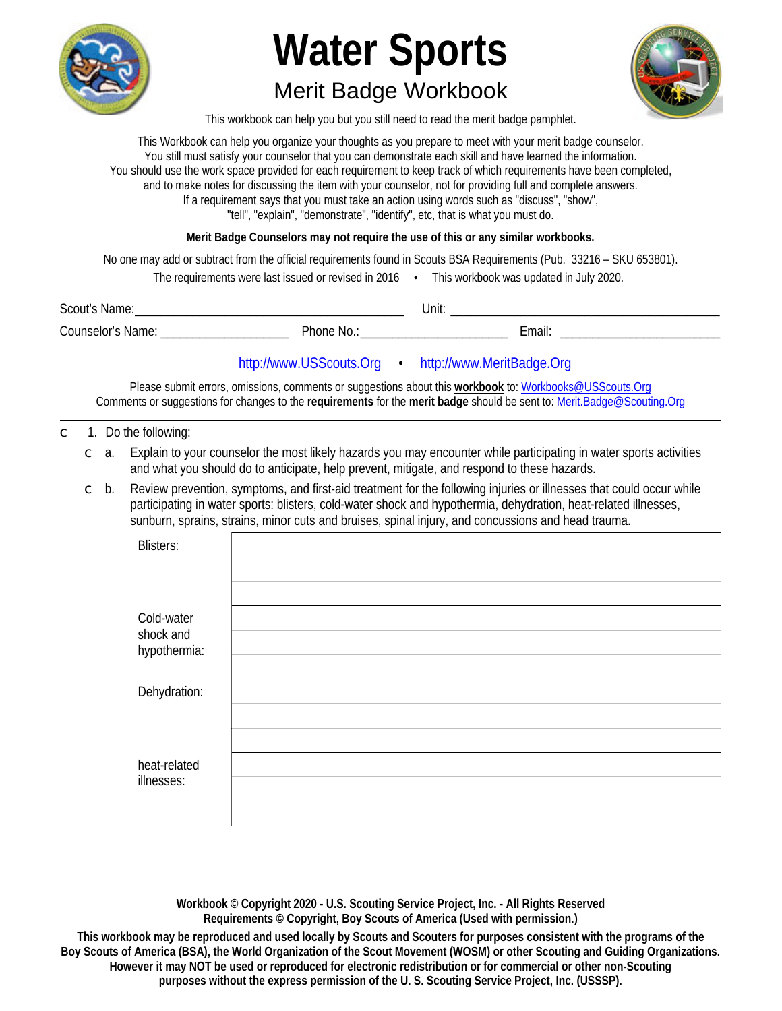

# **Water Sports Merit Badge Workbook**



This workbook can help you but you still need to read the merit badge pamphlet.

This Workbook can help you organize your thoughts as you prepare to meet with your merit badge counselor. You still must satisfy your counselor that you can demonstrate each skill and have learned the information. You should use the work space provided for each requirement to keep track of which requirements have been completed, and to make notes for discussing the item with your counselor, not for providing full and complete answers. If a requirement says that you must take an action using words such as "discuss", "show", "tell", "explain", "demonstrate", "identify", etc, that is what you must do.

Merit Badge Counselors may not require the use of this or any similar workbooks.

No one may add or subtract from the official requirements found in Scouts BSA Requirements (Pub. 33216 - SKU 653801).

| The requirements were last issued or revised in 2016 |  | This workbook was updated in July 2020. |  |
|------------------------------------------------------|--|-----------------------------------------|--|
|------------------------------------------------------|--|-----------------------------------------|--|

| Scout's<br>Name:         |          | Unit. |        |
|--------------------------|----------|-------|--------|
| <b>Counselor's Name:</b> | Phone No |       | ∠mail: |

## http://www.USScouts.Org • http://www.MeritBadge.Org

Please submit errors, omissions, comments or suggestions about this workbook to: Workbooks@USScouts.Org Comments or suggestions for changes to the requirements for the merit badge should be sent to: Merit.Badge@Scouting.Org

- 1. Do the following:  $\overline{C}$ 
	- $\degree$  a. Explain to your counselor the most likely hazards you may encounter while participating in water sports activities and what you should do to anticipate, help prevent, mitigate, and respond to these hazards.
	- Review prevention, symptoms, and first-aid treatment for the following injuries or illnesses that could occur while  $\subset$  b. participating in water sports: blisters, cold-water shock and hypothermia, dehydration, heat-related illnesses, sunburn, sprains, strains, minor cuts and bruises, spinal injury, and concussions and head trauma.

| <b>Blisters:</b>        |  |
|-------------------------|--|
|                         |  |
| Cold-water<br>shock and |  |
| hypothermia:            |  |
| Dehydration:            |  |
|                         |  |
|                         |  |
| heat-related            |  |
| illnesses:              |  |
|                         |  |
|                         |  |

Workbook © Copyright 2020 - U.S. Scouting Service Project, Inc. - All Rights Reserved Requirements © Copyright, Boy Scouts of America (Used with permission.)

This workbook may be reproduced and used locally by Scouts and Scouters for purposes consistent with the programs of the Boy Scouts of America (BSA), the World Organization of the Scout Movement (WOSM) or other Scouting and Guiding Organizations. However it may NOT be used or reproduced for electronic redistribution or for commercial or other non-Scouting purposes without the express permission of the U.S. Scouting Service Project, Inc. (USSSP).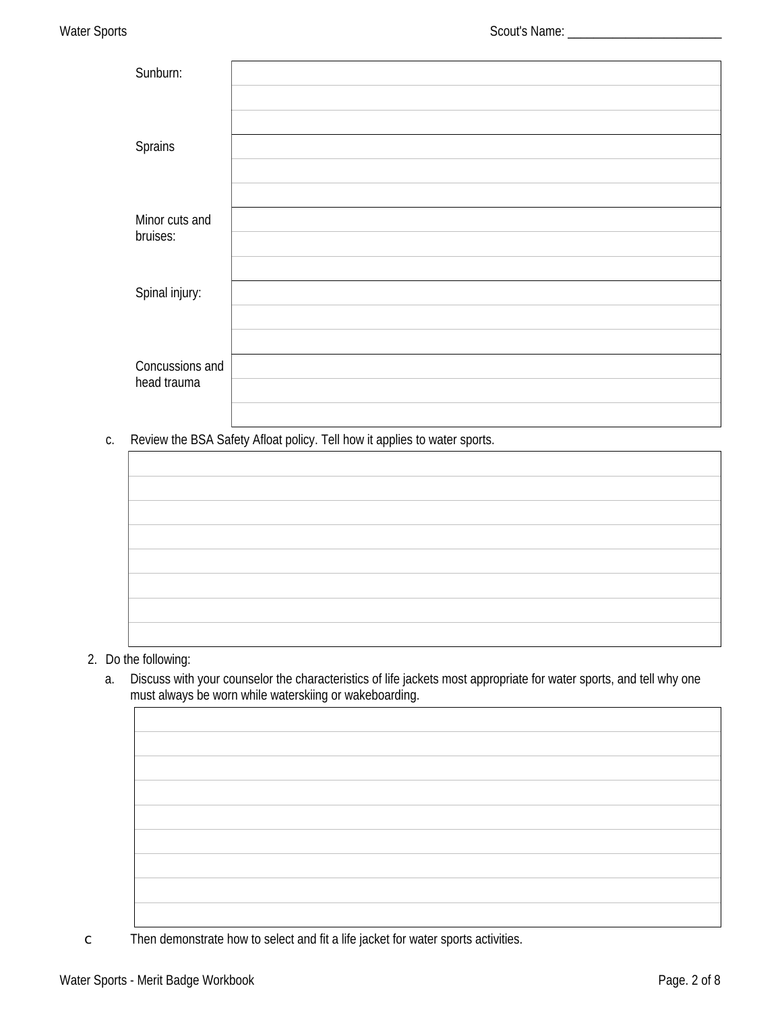| Sunburn:                              |  |
|---------------------------------------|--|
|                                       |  |
|                                       |  |
| <b>Sprains</b>                        |  |
|                                       |  |
|                                       |  |
| Minor cuts and<br>bruises:            |  |
|                                       |  |
|                                       |  |
| Spinal injury:                        |  |
|                                       |  |
|                                       |  |
| <b>Concussions and</b><br>head trauma |  |
|                                       |  |
|                                       |  |

c. Review the BSA Safety Afloat policy. Tell how it applies to water sports.

### 2. Do the following:

Discuss with your counselor the characteristics of life jackets most appropriate for water sports, and tell why one  $a.$ must always be worn while waterskiing or wakeboarding.

 $\mathsf C$ Then demonstrate how to select and fit a life jacket for water sports activities.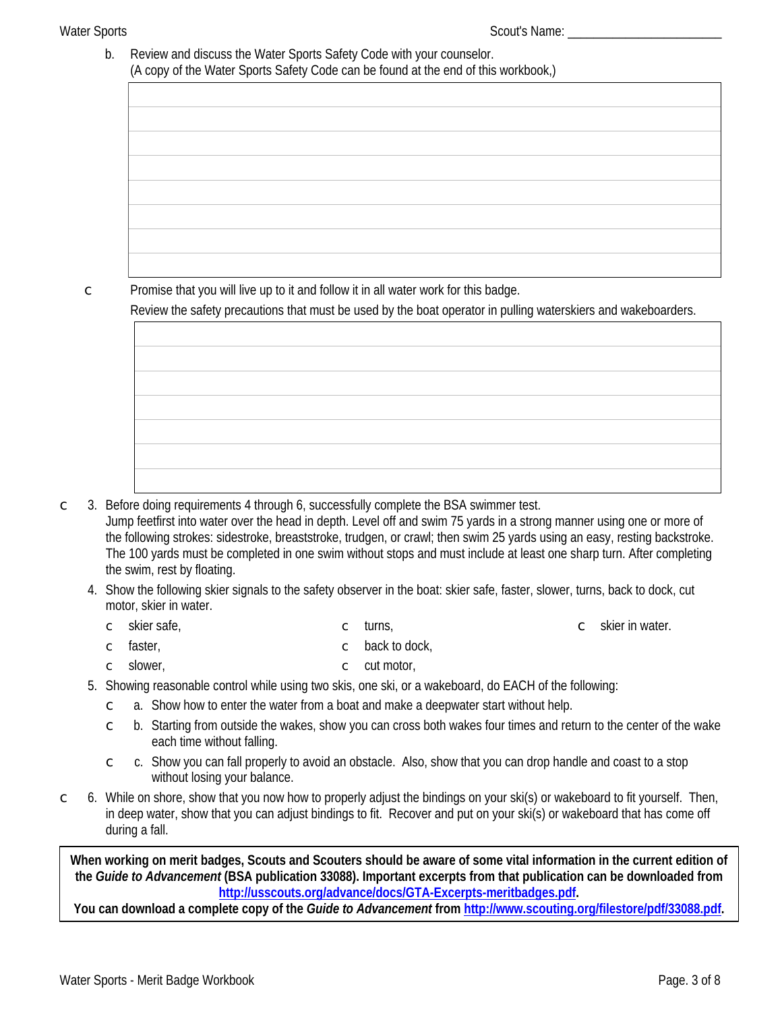b. Review and discuss the Water Sports Safety Code with your counselor. (A copy of the Water Sports Safety Code can be found at the end of this workbook,)

 $\mathsf{C}$ 

Promise that you will live up to it and follow it in all water work for this badge.

Review the safety precautions that must be used by the boat operator in pulling waterskiers and wakeboarders.

3. Before doing requirements 4 through 6, successfully complete the BSA swimmer test.  $\overline{C}$ Jump feetfirst into water over the head in depth. Level off and swim 75 yards in a strong manner using one or more of the following strokes: sidestroke, breaststroke, trudgen, or crawl; then swim 25 yards using an easy, resting backstroke. The 100 yards must be completed in one swim without stops and must include at least one sharp turn. After completing the swim, rest by floating.

- 4. Show the following skier signals to the safety observer in the boat: skier safe, faster, slower, turns, back to dock, cut motor, skier in water.
	- skier safe, turns,  $\circ$  skier in water.  $\mathbb{C}$  $\overline{C}$
	- back to dock, faster,  $\mathsf C$  $\mathbb C$
	- $\circ$  cut motor, slower,  $\subset$
- 5. Showing reasonable control while using two skis, one ski, or a wakeboard, do EACH of the following:
	- a. Show how to enter the water from a boat and make a deepwater start without help.  $\overline{C}$
	- b. Starting from outside the wakes, show you can cross both wakes four times and return to the center of the wake  $\overline{C}$ each time without falling.
	- c. Show you can fall properly to avoid an obstacle. Also, show that you can drop handle and coast to a stop  $\overline{C}$ without losing your balance.
- 6. While on shore, show that you now how to properly adjust the bindings on your ski(s) or wakeboard to fit yourself. Then,  $\subset$ in deep water, show that you can adjust bindings to fit. Recover and put on your ski(s) or wakeboard that has come off during a fall.

When working on merit badges, Scouts and Scouters should be aware of some vital information in the current edition of the Guide to Advancement (BSA publication 33088). Important excerpts from that publication can be downloaded from http://usscouts.org/advance/docs/GTA-Excerpts-meritbadges.pdf.

You can download a complete copy of the Guide to Advancement from http://www.scouting.org/filestore/pdf/33088.pdf.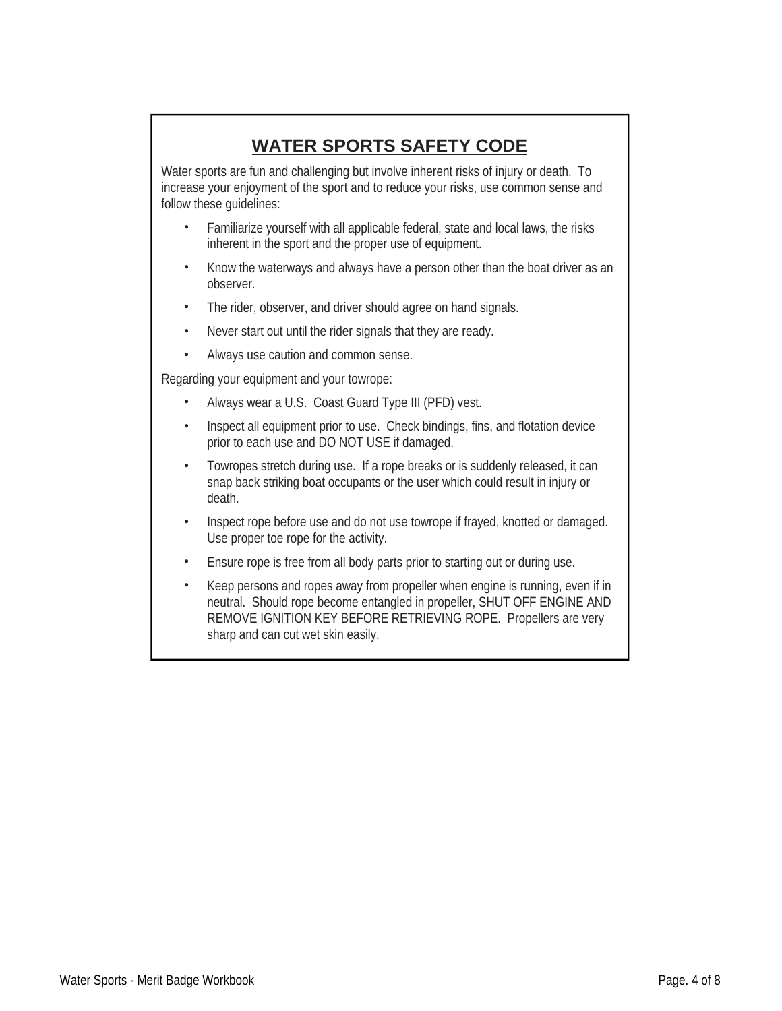# **WATER SPORTS SAFETY CODE**

Water sports are fun and challenging but involve inherent risks of injury or death. To increase your enjoyment of the sport and to reduce your risks, use common sense and follow these quidelines:

- Familiarize yourself with all applicable federal, state and local laws, the risks inherent in the sport and the proper use of equipment.
- Know the waterways and always have a person other than the boat driver as an observer.
- The rider, observer, and driver should agree on hand signals.
- Never start out until the rider signals that they are ready.
- Always use caution and common sense.

Regarding your equipment and your towrope:

- Always wear a U.S. Coast Guard Type III (PFD) vest.
- Inspect all equipment prior to use. Check bindings, fins, and flotation device prior to each use and DO NOT USE if damaged.
- Towropes stretch during use. If a rope breaks or is suddenly released, it can snap back striking boat occupants or the user which could result in injury or death.
- Inspect rope before use and do not use towrope if frayed, knotted or damaged.  $\bullet$ Use proper toe rope for the activity.
- Ensure rope is free from all body parts prior to starting out or during use.
- Keep persons and ropes away from propeller when engine is running, even if in neutral. Should rope become entangled in propeller, SHUT OFF ENGINE AND REMOVE IGNITION KEY BEFORE RETRIEVING ROPE. Propellers are very sharp and can cut wet skin easily.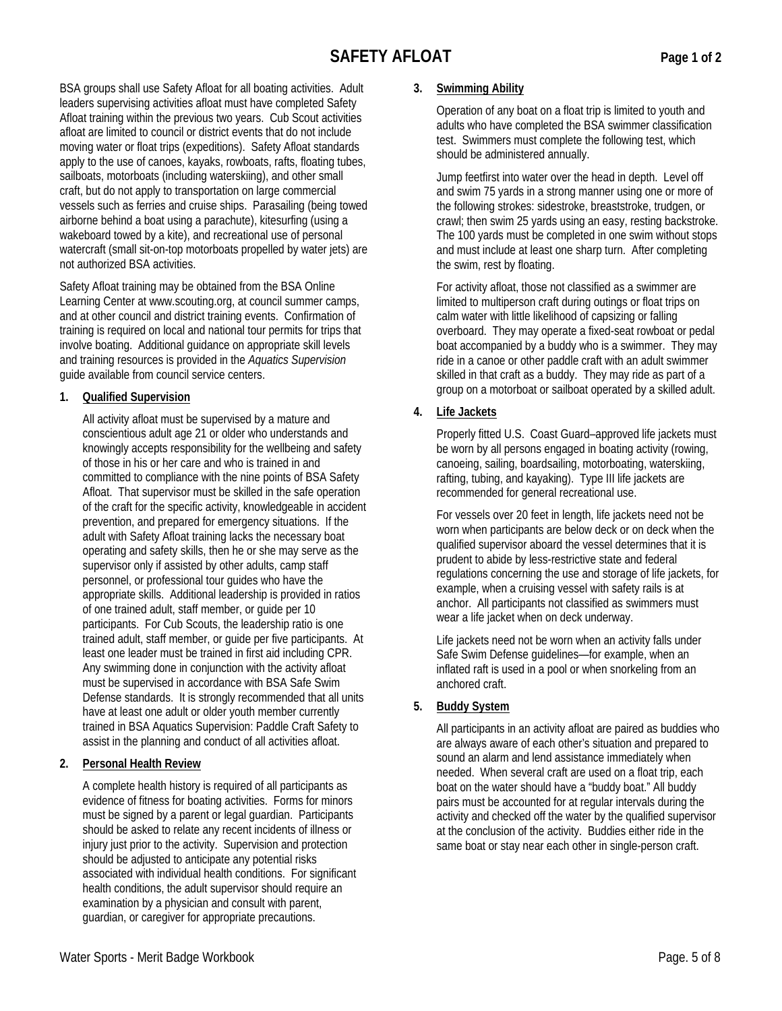# **SAFETY AFLOAT**

BSA groups shall use Safety Afloat for all boating activities. Adult leaders supervising activities afloat must have completed Safety Afloat training within the previous two years. Cub Scout activities afloat are limited to council or district events that do not include moving water or float trips (expeditions). Safety Afloat standards apply to the use of canoes, kayaks, rowboats, rafts, floating tubes, sailboats, motorboats (including waterskiing), and other small craft, but do not apply to transportation on large commercial vessels such as ferries and cruise ships. Parasailing (being towed airborne behind a boat using a parachute), kitesurfing (using a wakeboard towed by a kite), and recreational use of personal watercraft (small sit-on-top motorboats propelled by water jets) are not authorized BSA activities.

Safety Afloat training may be obtained from the BSA Online Learning Center at www.scouting.org, at council summer camps, and at other council and district training events. Confirmation of training is required on local and national tour permits for trips that involve boating. Additional quidance on appropriate skill levels and training resources is provided in the Aquatics Supervision quide available from council service centers.

#### $1<sup>1</sup>$ **Qualified Supervision**

All activity afloat must be supervised by a mature and conscientious adult age 21 or older who understands and knowingly accepts responsibility for the wellbeing and safety of those in his or her care and who is trained in and committed to compliance with the nine points of BSA Safety Afloat. That supervisor must be skilled in the safe operation of the craft for the specific activity, knowledgeable in accident prevention, and prepared for emergency situations. If the adult with Safety Afloat training lacks the necessary boat operating and safety skills, then he or she may serve as the supervisor only if assisted by other adults, camp staff personnel, or professional tour guides who have the appropriate skills. Additional leadership is provided in ratios of one trained adult, staff member, or quide per 10 participants. For Cub Scouts, the leadership ratio is one trained adult, staff member, or guide per five participants. At least one leader must be trained in first aid including CPR. Any swimming done in conjunction with the activity afloat must be supervised in accordance with BSA Safe Swim Defense standards. It is strongly recommended that all units have at least one adult or older youth member currently trained in BSA Aquatics Supervision: Paddle Craft Safety to assist in the planning and conduct of all activities afloat.

#### $2.$ **Personal Health Review**

A complete health history is required of all participants as evidence of fitness for boating activities. Forms for minors must be signed by a parent or legal guardian. Participants should be asked to relate any recent incidents of illness or injury just prior to the activity. Supervision and protection should be adiusted to anticipate any potential risks associated with individual health conditions. For significant health conditions, the adult supervisor should require an examination by a physician and consult with parent. guardian, or caregiver for appropriate precautions.

### 3. Swimming Ability

Operation of any boat on a float trip is limited to youth and adults who have completed the BSA swimmer classification test. Swimmers must complete the following test, which should be administered annually.

Jump feetfirst into water over the head in depth. Level off and swim 75 yards in a strong manner using one or more of the following strokes: sidestroke, breaststroke, trudgen, or crawl; then swim 25 yards using an easy, resting backstroke. The 100 yards must be completed in one swim without stops and must include at least one sharp turn. After completing the swim, rest by floating.

For activity afloat, those not classified as a swimmer are limited to multiperson craft during outings or float trips on calm water with little likelihood of capsizing or falling overboard. They may operate a fixed-seat rowboat or pedal boat accompanied by a buddy who is a swimmer. They may ride in a canoe or other paddle craft with an adult swimmer skilled in that craft as a buddy. They may ride as part of a group on a motorboat or sailboat operated by a skilled adult.

4. **Life Jackets** 

> Properly fitted U.S. Coast Guard-approved life jackets must be worn by all persons engaged in boating activity (rowing, canoeing, sailing, boardsailing, motorboating, waterskiing, rafting, tubing, and kayaking). Type III life jackets are recommended for general recreational use.

> For vessels over 20 feet in length, life jackets need not be worn when participants are below deck or on deck when the qualified supervisor aboard the vessel determines that it is prudent to abide by less-restrictive state and federal regulations concerning the use and storage of life jackets, for example, when a cruising vessel with safety rails is at anchor. All participants not classified as swimmers must wear a life jacket when on deck underway.

Life jackets need not be worn when an activity falls under Safe Swim Defense quidelines-for example, when an inflated raft is used in a pool or when snorkeling from an anchored craft.

 $5<sub>1</sub>$ **Buddy System** 

> All participants in an activity afloat are paired as buddies who are always aware of each other's situation and prepared to sound an alarm and lend assistance immediately when needed. When several craft are used on a float trip, each boat on the water should have a "buddy boat." All buddy pairs must be accounted for at regular intervals during the activity and checked off the water by the qualified supervisor at the conclusion of the activity. Buddies either ride in the same boat or stay near each other in single-person craft.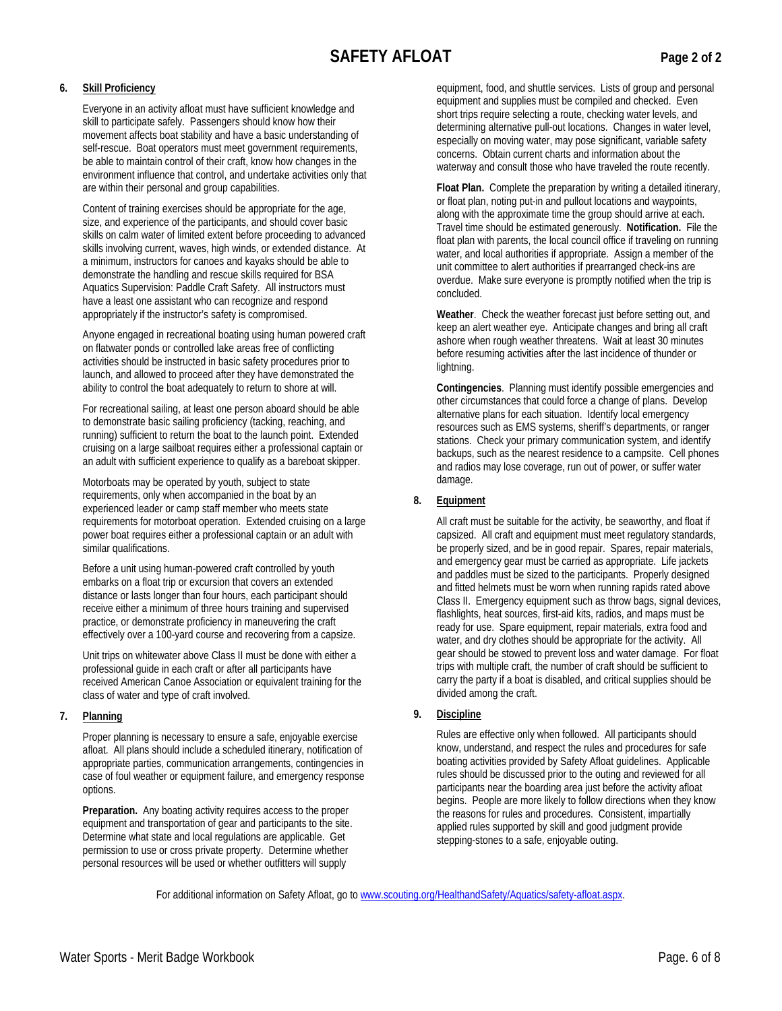Everyone in an activity afloat must have sufficient knowledge and skill to participate safely. Passengers should know how their movement affects boat stability and have a basic understanding of self-rescue. Boat operators must meet government requirements, be able to maintain control of their craft, know how changes in the environment influence that control, and undertake activities only that are within their personal and group capabilities.

Content of training exercises should be appropriate for the age, size, and experience of the participants, and should cover basic skills on calm water of limited extent before proceeding to advanced skills involving current, waves, high winds, or extended distance. At a minimum, instructors for canoes and kayaks should be able to demonstrate the handling and rescue skills required for BSA Aquatics Supervision: Paddle Craft Safety. All instructors must have a least one assistant who can recognize and respond appropriately if the instructor's safety is compromised.

Anyone engaged in recreational boating using human powered craft on flatwater ponds or controlled lake areas free of conflicting activities should be instructed in basic safety procedures prior to launch, and allowed to proceed after they have demonstrated the ability to control the boat adequately to return to shore at will.

For recreational sailing, at least one person aboard should be able to demonstrate basic sailing proficiency (tacking, reaching, and running) sufficient to return the boat to the launch point. Extended cruising on a large sailboat requires either a professional captain or an adult with sufficient experience to qualify as a bareboat skipper.

Motorboats may be operated by youth, subject to state requirements, only when accompanied in the boat by an experienced leader or camp staff member who meets state requirements for motorboat operation. Extended cruising on a large power boat requires either a professional captain or an adult with similar qualifications.

Before a unit using human-powered craft controlled by youth embarks on a float trip or excursion that covers an extended distance or lasts longer than four hours, each participant should receive either a minimum of three hours training and supervised practice, or demonstrate proficiency in maneuvering the craft effectively over a 100-yard course and recovering from a capsize.

Unit trips on whitewater above Class II must be done with either a professional guide in each craft or after all participants have received American Canoe Association or equivalent training for the class of water and type of craft involved.

7. Planning

> Proper planning is necessary to ensure a safe, enjoyable exercise afloat. All plans should include a scheduled itinerary, notification of appropriate parties, communication arrangements, contingencies in case of foul weather or equipment failure, and emergency response options.

Preparation. Any boating activity requires access to the proper equipment and transportation of gear and participants to the site. Determine what state and local regulations are applicable. Get permission to use or cross private property. Determine whether personal resources will be used or whether outfitters will supply

equipment, food, and shuttle services. Lists of group and personal equipment and supplies must be compiled and checked. Even short trips require selecting a route, checking water levels, and determining alternative pull-out locations. Changes in water level, especially on moving water, may pose significant, variable safety concerns. Obtain current charts and information about the waterway and consult those who have traveled the route recently.

Float Plan. Complete the preparation by writing a detailed itinerary, or float plan, noting put-in and pullout locations and waypoints, along with the approximate time the group should arrive at each. Travel time should be estimated generously. Notification. File the float plan with parents, the local council office if traveling on running water, and local authorities if appropriate. Assign a member of the unit committee to alert authorities if prearranged check-ins are overdue. Make sure everyone is promptly notified when the trip is concluded.

Weather. Check the weather forecast just before setting out, and keep an alert weather eye. Anticipate changes and bring all craft ashore when rough weather threatens. Wait at least 30 minutes before resuming activities after the last incidence of thunder or lightning.

Contingencies. Planning must identify possible emergencies and other circumstances that could force a change of plans. Develop alternative plans for each situation. Identify local emergency resources such as EMS systems, sheriff's departments, or ranger stations. Check your primary communication system, and identify backups, such as the nearest residence to a campsite. Cell phones and radios may lose coverage, run out of power, or suffer water damage.

#### 8. Equipment

All craft must be suitable for the activity, be seaworthy, and float if capsized. All craft and equipment must meet requlatory standards, be properly sized, and be in good repair. Spares, repair materials, and emergency gear must be carried as appropriate. Life jackets and paddles must be sized to the participants. Properly designed and fitted helmets must be worn when running rapids rated above Class II. Emergency equipment such as throw bags, signal devices, flashlights, heat sources, first-aid kits, radios, and maps must be ready for use. Spare equipment, repair materials, extra food and water, and dry clothes should be appropriate for the activity. All gear should be stowed to prevent loss and water damage. For float trips with multiple craft, the number of craft should be sufficient to carry the party if a boat is disabled, and critical supplies should be divided among the craft.

9. **Discipline** 

> Rules are effective only when followed. All participants should know, understand, and respect the rules and procedures for safe boating activities provided by Safety Afloat guidelines. Applicable rules should be discussed prior to the outing and reviewed for all participants near the boarding area just before the activity afloat begins. People are more likely to follow directions when they know the reasons for rules and procedures. Consistent, impartially applied rules supported by skill and good judgment provide stepping-stones to a safe, enjoyable outing.

For additional information on Safety Afloat, go to www.scouting.org/HealthandSafety/Aquatics/safety-afloat.aspx.

Page 2 of 2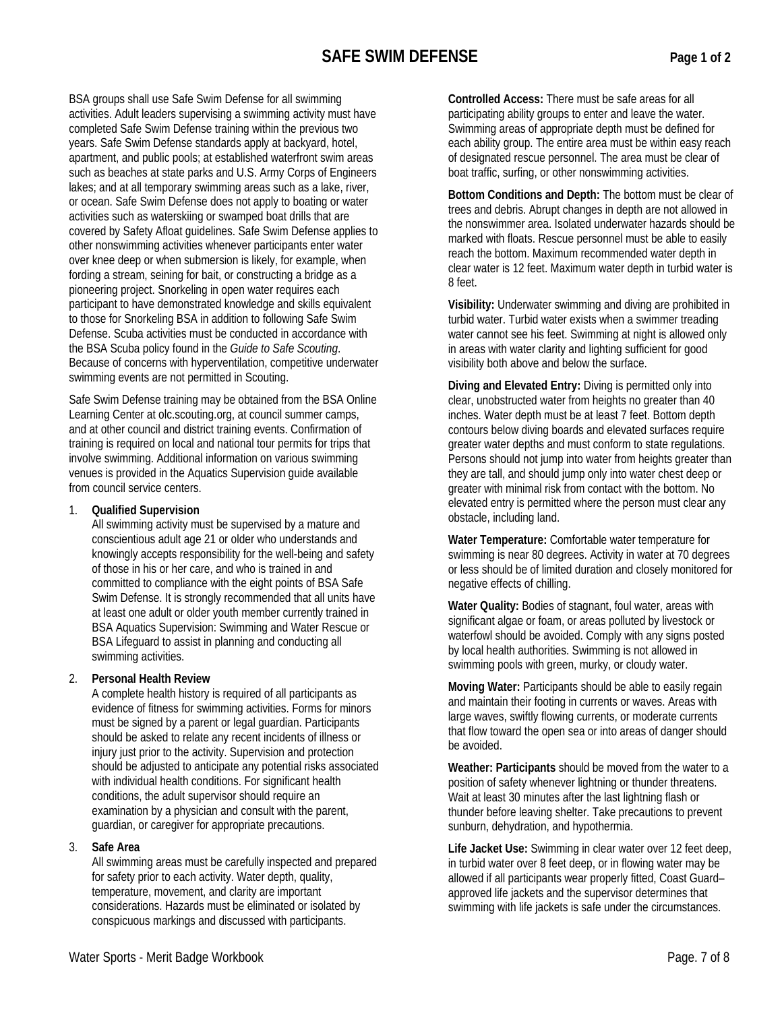BSA groups shall use Safe Swim Defense for all swimming activities. Adult leaders supervising a swimming activity must have completed Safe Swim Defense training within the previous two years. Safe Swim Defense standards apply at backyard, hotel, apartment, and public pools; at established waterfront swim areas such as beaches at state parks and U.S. Army Corps of Engineers lakes; and at all temporary swimming areas such as a lake, river, or ocean. Safe Swim Defense does not apply to boating or water activities such as waterskiing or swamped boat drills that are covered by Safety Afloat quidelines. Safe Swim Defense applies to other nonswimming activities whenever participants enter water over knee deep or when submersion is likely, for example, when fording a stream, seining for bait, or constructing a bridge as a pioneering project. Snorkeling in open water requires each participant to have demonstrated knowledge and skills equivalent to those for Snorkeling BSA in addition to following Safe Swim Defense. Scuba activities must be conducted in accordance with the BSA Scuba policy found in the Guide to Safe Scouting. Because of concerns with hyperventilation, competitive underwater swimming events are not permitted in Scouting.

Safe Swim Defense training may be obtained from the BSA Online Learning Center at olc.scouting.org, at council summer camps, and at other council and district training events. Confirmation of training is required on local and national tour permits for trips that involve swimming. Additional information on various swimming venues is provided in the Aquatics Supervision guide available from council service centers.

**Qualified Supervision**  $1$ 

All swimming activity must be supervised by a mature and conscientious adult age 21 or older who understands and knowingly accepts responsibility for the well-being and safety of those in his or her care, and who is trained in and committed to compliance with the eight points of BSA Safe Swim Defense. It is strongly recommended that all units have at least one adult or older youth member currently trained in **BSA Aquatics Supervision: Swimming and Water Rescue or** BSA Lifequard to assist in planning and conducting all swimming activities.

 $\mathbf{p}$ **Personal Health Review** 

A complete health history is required of all participants as evidence of fitness for swimming activities. Forms for minors must be signed by a parent or legal guardian. Participants should be asked to relate any recent incidents of illness or injury just prior to the activity. Supervision and protection should be adjusted to anticipate any potential risks associated with individual health conditions. For significant health conditions, the adult supervisor should require an examination by a physician and consult with the parent, guardian, or caregiver for appropriate precautions.

#### 3. **Safe Area**

All swimming areas must be carefully inspected and prepared for safety prior to each activity. Water depth, quality, temperature, movement, and clarity are important considerations. Hazards must be eliminated or isolated by conspicuous markings and discussed with participants.

Controlled Access: There must be safe areas for all participating ability groups to enter and leave the water. Swimming areas of appropriate depth must be defined for each ability group. The entire area must be within easy reach of designated rescue personnel. The area must be clear of boat traffic, surfing, or other nonswimming activities.

Bottom Conditions and Depth: The bottom must be clear of trees and debris. Abrupt changes in depth are not allowed in the nonswimmer area. Isolated underwater hazards should be marked with floats. Rescue personnel must be able to easily reach the bottom. Maximum recommended water depth in clear water is 12 feet. Maximum water depth in turbid water is 8 feet.

Visibility: Underwater swimming and diving are prohibited in turbid water. Turbid water exists when a swimmer treading water cannot see his feet. Swimming at night is allowed only in areas with water clarity and lighting sufficient for good visibility both above and below the surface.

Diving and Elevated Entry: Diving is permitted only into clear, unobstructed water from heights no greater than 40 inches. Water depth must be at least 7 feet. Bottom depth contours below diving boards and elevated surfaces require greater water depths and must conform to state regulations. Persons should not jump into water from heights greater than they are tall, and should jump only into water chest deep or greater with minimal risk from contact with the bottom. No elevated entry is permitted where the person must clear any obstacle, including land.

Water Temperature: Comfortable water temperature for swimming is near 80 degrees. Activity in water at 70 degrees or less should be of limited duration and closely monitored for negative effects of chilling.

Water Quality: Bodies of stagnant, foul water, areas with significant algae or foam, or areas polluted by livestock or waterfowl should be avoided. Comply with any signs posted by local health authorities. Swimming is not allowed in swimming pools with green, murky, or cloudy water.

Moving Water: Participants should be able to easily regain and maintain their footing in currents or waves. Areas with large waves, swiftly flowing currents, or moderate currents that flow toward the open sea or into areas of danger should be avoided.

Weather: Participants should be moved from the water to a position of safety whenever lightning or thunder threatens. Wait at least 30 minutes after the last lightning flash or thunder before leaving shelter. Take precautions to prevent sunburn, dehydration, and hypothermia.

Life Jacket Use: Swimming in clear water over 12 feet deep, in turbid water over 8 feet deep, or in flowing water may be allowed if all participants wear properly fitted, Coast Guardapproved life jackets and the supervisor determines that swimming with life jackets is safe under the circumstances.